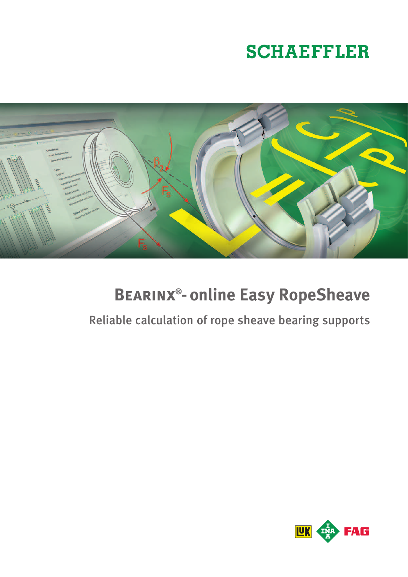# **SCHAEFFLER**



# **Bearinx®-online Easy RopeSheave**

# Reliable calculation of rope sheave bearing supports

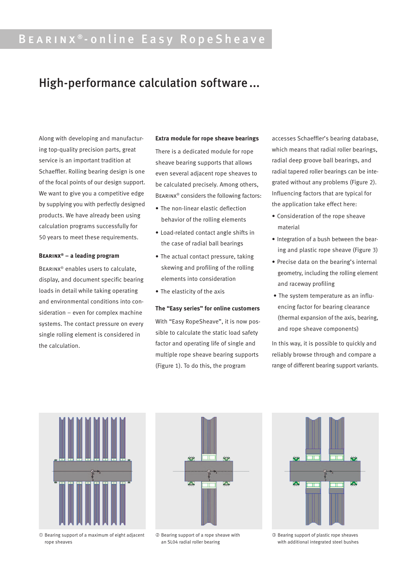## Bearinx ® - online Easy RopeSheave

## High-performance calculation software...

Along with developing and manufacturing top-quality precision parts, great service is an important tradition at Schaeffler. Rolling bearing design is one of the focal points of our design support. We want to give you a competitive edge by supplying you with perfectly designed products. We have already been using calculation programs successfully for 50 years to meet these requirements.

#### **Bearinx® – a leading program**

Bearinx® enables users to calculate, display, and document specific bearing loads in detail while taking operating and environmental conditions into consideration – even for complex machine systems. The contact pressure on every single rolling element is considered in the calculation.

#### **Extra module for rope sheave bearings**

There is a dedicated module for rope sheave bearing supports that allows even several adjacent rope sheaves to be calculated precisely. Among others, Bearinx® considers the following factors:

- The non-linear elastic deflection behavior of the rolling elements
- • Load-related contact angle shifts in the case of radial ball bearings
- The actual contact pressure, taking skewing and profiling of the rolling elements into consideration
- The elasticity of the axis

#### **The "Easy series" for online customers**

With "Easy RopeSheave", it is now possible to calculate the static load safety factor and operating life of single and multiple rope sheave bearing supports (Figure 1). To do this, the program

accesses Schaeffler's bearing database, which means that radial roller bearings, radial deep groove ball bearings, and radial tapered roller bearings can be integrated without any problems (Figure 2). Influencing factors that are typical for the application take effect here:

- • Consideration of the rope sheave material
- Integration of a bush between the bearing and plastic rope sheave (Figure 3)
- • Precise data on the bearing's internal geometry, including the rolling element and raceway profiling
- The system temperature as an influencing factor for bearing clearance (thermal expansion of the axis, bearing, and rope sheave components)

In this way, it is possible to quickly and reliably browse through and compare a range of different bearing support variants.



 Bearing support of a maximum of eight adjacent rope sheaves



 Bearing support of a rope sheave with an SL04 radial roller bearing



 Bearing support of plastic rope sheaves with additional integrated steel bushes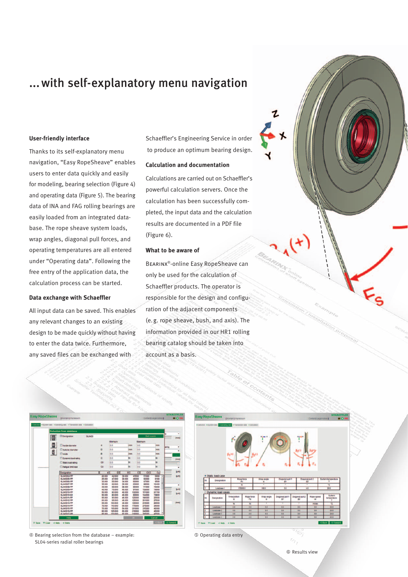### ...with self-explanatory menu navigation

#### **User-friendly interface**

Thanks to its self-explanatory menu navigation, "Easy RopeSheave" enables users to enter data quickly and easily for modeling, bearing selection (Figure 4) and operating data (Figure 5). The bearing data of INA and FAG rolling bearings are easily loaded from an integrated database. The rope sheave system loads, wrap angles, diagonal pull forces, and operating temperatures are all entered under "Operating data". Following the free entry of the application data, the calculation process can be started.

#### **Data exchange with Schaeffler**

All input data can be saved. This enables any relevant changes to an existing design to be made quickly without having to enter the data twice. Furthermore, any saved files can be exchanged with

Schaeffler's Engineering Service in order to produce an optimum bearing design.

#### **Calculation and documentation**

Calculations are carried out on Schaeffler's powerful calculation servers. Once the calculation has been successfully completed, the input data and the calculation results are documented in a PDF file (Figure 6).

#### **What to be aware of**

Bearinx®-online Easy RopeSheave can only be used for the calculation of Schaeffler products. The operator is responsible for the design and configuration of the adjacent components (e.g. rope sheave, bush, and axis). The information provided in our HR1 rolling bearing catalog should be taken into account as a basis.



 Bearing selection from the database – example: SL04-series radial roller bearings



Operating data entry